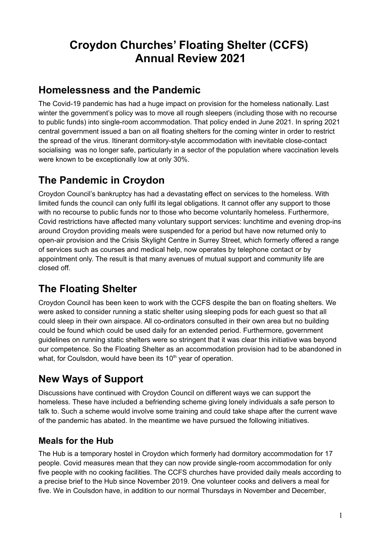# **Croydon Churches' Floating Shelter (CCFS) Annual Review 2021**

### **Homelessness and the Pandemic**

The Covid-19 pandemic has had a huge impact on provision for the homeless nationally. Last winter the government's policy was to move all rough sleepers (including those with no recourse to public funds) into single-room accommodation. That policy ended in June 2021. In spring 2021 central government issued a ban on all floating shelters for the coming winter in order to restrict the spread of the virus. Itinerant dormitory-style accommodation with inevitable close-contact socialising was no longer safe, particularly in a sector of the population where vaccination levels were known to be exceptionally low at only 30%.

## **The Pandemic in Croydon**

Croydon Council's bankruptcy has had a devastating effect on services to the homeless. With limited funds the council can only fulfil its legal obligations. It cannot offer any support to those with no recourse to public funds nor to those who become voluntarily homeless. Furthermore, Covid restrictions have affected many voluntary support services: lunchtime and evening drop-ins around Croydon providing meals were suspended for a period but have now returned only to open-air provision and the Crisis Skylight Centre in Surrey Street, which formerly offered a range of services such as courses and medical help, now operates by telephone contact or by appointment only. The result is that many avenues of mutual support and community life are closed off.

# **The Floating Shelter**

Croydon Council has been keen to work with the CCFS despite the ban on floating shelters. We were asked to consider running a static shelter using sleeping pods for each guest so that all could sleep in their own airspace. All co-ordinators consulted in their own area but no building could be found which could be used daily for an extended period. Furthermore, government guidelines on running static shelters were so stringent that it was clear this initiative was beyond our competence. So the Floating Shelter as an accommodation provision had to be abandoned in what, for Coulsdon, would have been its 10<sup>th</sup> year of operation.

# **New Ways of Support**

Discussions have continued with Croydon Council on different ways we can support the homeless. These have included a befriending scheme giving lonely individuals a safe person to talk to. Such a scheme would involve some training and could take shape after the current wave of the pandemic has abated. In the meantime we have pursued the following initiatives.

#### **Meals for the Hub**

The Hub is a temporary hostel in Croydon which formerly had dormitory accommodation for 17 people. Covid measures mean that they can now provide single-room accommodation for only five people with no cooking facilities. The CCFS churches have provided daily meals according to a precise brief to the Hub since November 2019. One volunteer cooks and delivers a meal for five. We in Coulsdon have, in addition to our normal Thursdays in November and December,